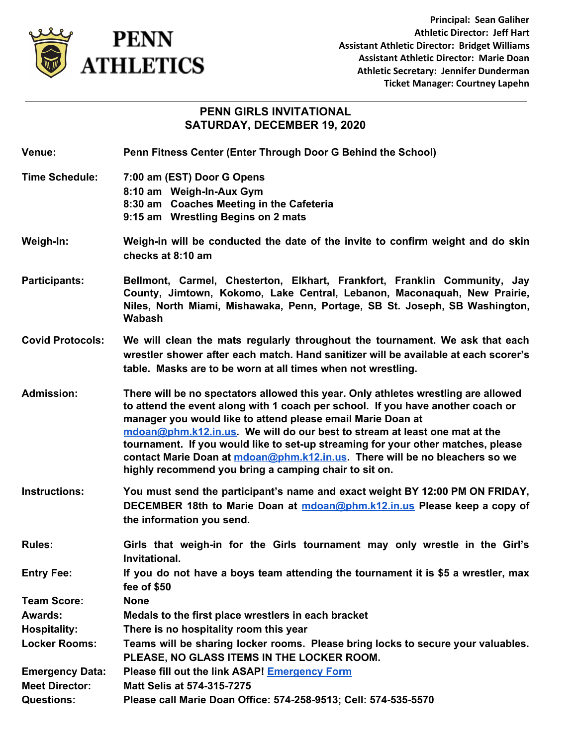

**Principal: Sean Galiher Athletic Director: Jeff Hart Assistant Athletic Director: Bridget Williams Assistant Athletic Director: Marie Doan Athletic Secretary: Jennifer Dunderman Ticket Manager: Courtney Lapehn**

## **PENN GIRLS INVITATIONAL SATURDAY, DECEMBER 19, 2020**

**Venue: Penn Fitness Center (Enter Through Door G Behind the School)**

- **Time Schedule: 7:00 am (EST) Door G Opens**
	- **8:10 am Weigh-In-Aux Gym**
		- **8:30 am Coaches Meeting in the Cafeteria**
			- **9:15 am Wrestling Begins on 2 mats**
- **Weigh-In: Weigh-in will be conducted the date of the invite to confirm weight and do skin checks at 8:10 am**
- **Participants: Bellmont, Carmel, Chesterton, Elkhart, Frankfort, Franklin Community, Jay County, Jimtown, Kokomo, Lake Central, Lebanon, Maconaquah, New Prairie, Niles, North Miami, Mishawaka, Penn, Portage, SB St. Joseph, SB Washington, Wabash**
- **Covid Protocols: We will clean the mats regularly throughout the tournament. We ask that each wrestler shower after each match. Hand sanitizer will be available at each scorer's table. Masks are to be worn at all times when not wrestling.**

**Admission: There will be no spectators allowed this year. Only athletes wrestling are allowed to attend the event along with 1 coach per school. If you have another coach or manager you would like to attend please email Marie Doan at [mdoan@phm.k12.in.us](mailto:mdoan@phm.k12.in.us). We will do our best to stream at least one mat at the tournament. If you would like to set-up streaming for your other matches, please contact Marie Doan at [mdoan@phm.k12.in.us](mailto:mdoan@phm.k12.in.us). There will be no bleachers so we highly recommend you bring a camping chair to sit on.**

- **Instructions: You must send the participant's name and exact weight BY 12:00 PM ON FRIDAY, DECEMBER 18th to Marie Doan at [mdoan@phm.k12.in.us](mailto:mdoan@phm.k12.in.us) Please keep a copy of the information you send.**
- **Rules: Girls that weigh-in for the Girls tournament may only wrestle in the Girl's Invitational.**
- **Entry Fee: If you do not have a boys team attending the tournament it is \$5 a wrestler, max fee of \$50**
- **Team Score: None**
- **Awards: Medals to the first place wrestlers in each bracket**
- **Hospitality: There is no hospitality room this year**
- **Locker Rooms: Teams will be sharing locker rooms. Please bring locks to secure your valuables. PLEASE, NO GLASS ITEMS IN THE LOCKER ROOM.**
- **Emergency Data: Please fill out the link ASAP! [Emergency](https://forms.gle/U42P8oM7HjHbhgYE7) Form**
- **Meet Director: Matt Selis at 574-315-7275**
- **Questions: Please call Marie Doan Office: 574-258-9513; Cell: 574-535-5570**